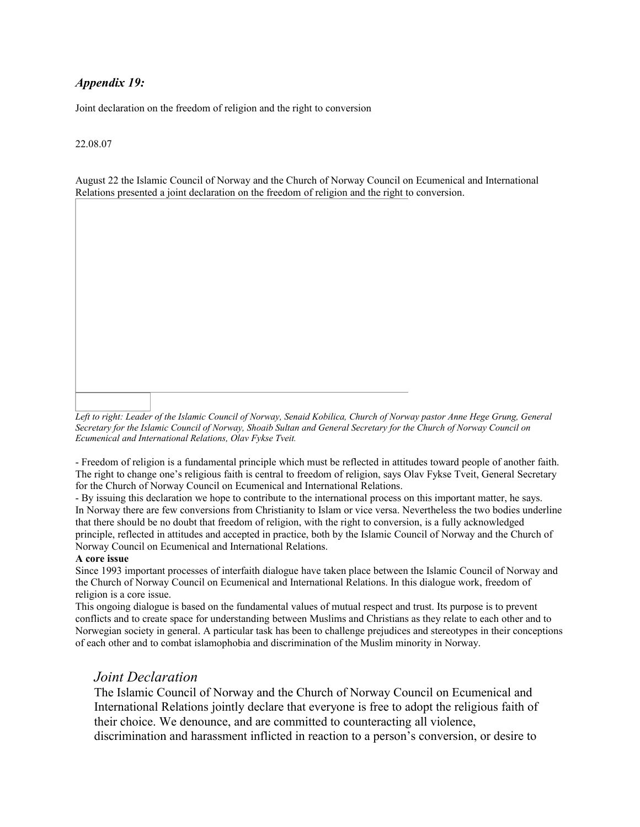## *Appendix 19:*

Joint declaration on the freedom of religion and the right to conversion

## 22.08.07

August 22 the Islamic Council of Norway and the Church of Norway Council on Ecumenical and International Relations presented a joint declaration on the freedom of religion and the right to conversion.

*Left to right: Leader of the Islamic Council of Norway, Senaid Kobilica, Church of Norway pastor Anne Hege Grung, General Secretary for the Islamic Council of Norway, Shoaib Sultan and General Secretary for the Church of Norway Council on Ecumenical and International Relations, Olav Fykse Tveit.*

- Freedom of religion is a fundamental principle which must be reflected in attitudes toward people of another faith. The right to change one's religious faith is central to freedom of religion, says Olav Fykse Tveit, General Secretary for the Church of Norway Council on Ecumenical and International Relations.

- By issuing this declaration we hope to contribute to the international process on this important matter, he says. In Norway there are few conversions from Christianity to Islam or vice versa. Nevertheless the two bodies underline that there should be no doubt that freedom of religion, with the right to conversion, is a fully acknowledged principle, reflected in attitudes and accepted in practice, both by the Islamic Council of Norway and the Church of Norway Council on Ecumenical and International Relations.

## **A core issue**

Since 1993 important processes of interfaith dialogue have taken place between the Islamic Council of Norway and the Church of Norway Council on Ecumenical and International Relations. In this dialogue work, freedom of religion is a core issue.

This ongoing dialogue is based on the fundamental values of mutual respect and trust. Its purpose is to prevent conflicts and to create space for understanding between Muslims and Christians as they relate to each other and to Norwegian society in general. A particular task has been to challenge prejudices and stereotypes in their conceptions of each other and to combat islamophobia and discrimination of the Muslim minority in Norway.

## *Joint Declaration*

The Islamic Council of Norway and the Church of Norway Council on Ecumenical and International Relations jointly declare that everyone is free to adopt the religious faith of their choice. We denounce, and are committed to counteracting all violence, discrimination and harassment inflicted in reaction to a person's conversion, or desire to